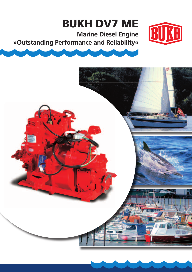